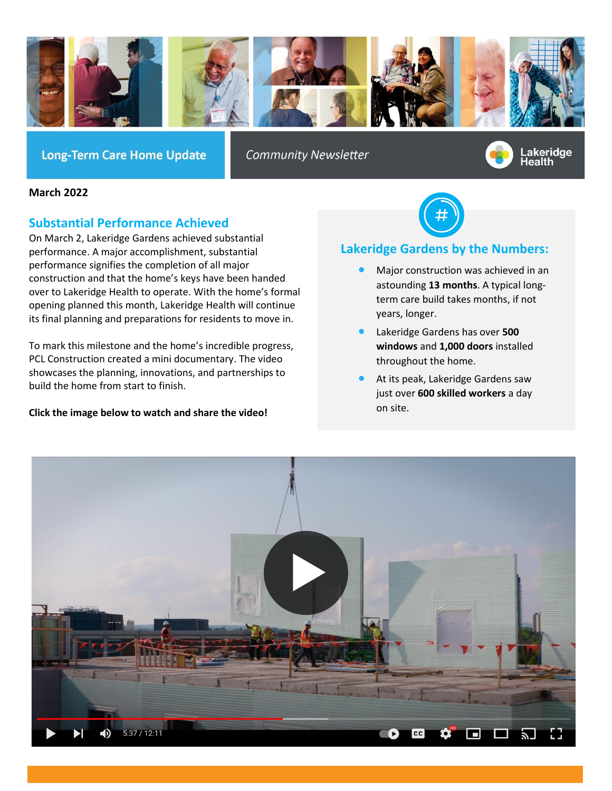

**Long-Term Care Home Update** 

**Community Newsletter** 



### **March 2022**

# **Substantial Performance Achieved**

On March 2, Lakeridge Gardens achieved substantial performance. A major accomplishment, substantial performance signifies the completion of all major construction and that the home's keys have been handed over to Lakeridge Health to operate. With the home's formal opening planned this month, Lakeridge Health will continue its final planning and preparations for residents to move in.

To mark this milestone and the home's incredible progress, PCL Construction created a mini documentary. The video showcases the planning, innovations, and partnerships to build the home from start to finish.

## **Click the image below to watch and share the video!**



# **Lakeridge Gardens by the Numbers:**

- Major construction was achieved in an astounding **13 months**. A typical longterm care build takes months, if not years, longer.
- Lakeridge Gardens has over **500 windows** and **1,000 doors** installed throughout the home.
- At its peak, Lakeridge Gardens saw just over **600 skilled workers** a day on site.